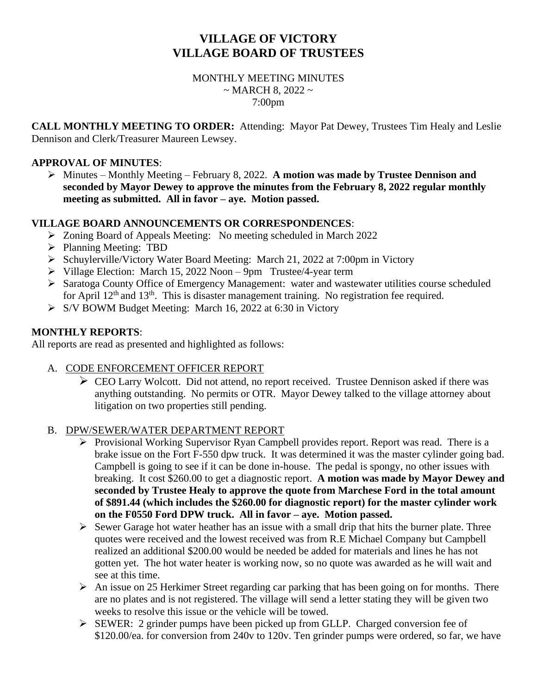# **VILLAGE OF VICTORY VILLAGE BOARD OF TRUSTEES**

# MONTHLY MEETING MINUTES  $\sim$  MARCH 8, 2022  $\sim$ 7:00pm

**CALL MONTHLY MEETING TO ORDER:** Attending: Mayor Pat Dewey, Trustees Tim Healy and Leslie Dennison and Clerk/Treasurer Maureen Lewsey.

#### **APPROVAL OF MINUTES**:

➢ Minutes – Monthly Meeting – February 8, 2022. **A motion was made by Trustee Dennison and seconded by Mayor Dewey to approve the minutes from the February 8, 2022 regular monthly meeting as submitted. All in favor – aye. Motion passed.**

#### **VILLAGE BOARD ANNOUNCEMENTS OR CORRESPONDENCES**:

- ➢ Zoning Board of Appeals Meeting: No meeting scheduled in March 2022
- ➢ Planning Meeting: TBD
- ➢ Schuylerville/Victory Water Board Meeting: March 21, 2022 at 7:00pm in Victory
- ➢ Village Election: March 15, 2022 Noon 9pm Trustee/4-year term
- ➢ Saratoga County Office of Emergency Management: water and wastewater utilities course scheduled for April  $12<sup>th</sup>$  and  $13<sup>th</sup>$ . This is disaster management training. No registration fee required.
- ➢ S/V BOWM Budget Meeting: March 16, 2022 at 6:30 in Victory

#### **MONTHLY REPORTS**:

All reports are read as presented and highlighted as follows:

# A. CODE ENFORCEMENT OFFICER REPORT

➢ CEO Larry Wolcott. Did not attend, no report received. Trustee Dennison asked if there was anything outstanding. No permits or OTR. Mayor Dewey talked to the village attorney about litigation on two properties still pending.

#### B. DPW/SEWER/WATER DEPARTMENT REPORT

- ➢ Provisional Working Supervisor Ryan Campbell provides report. Report was read. There is a brake issue on the Fort F-550 dpw truck. It was determined it was the master cylinder going bad. Campbell is going to see if it can be done in-house. The pedal is spongy, no other issues with breaking. It cost \$260.00 to get a diagnostic report. **A motion was made by Mayor Dewey and seconded by Trustee Healy to approve the quote from Marchese Ford in the total amount of \$891.44 (which includes the \$260.00 for diagnostic report) for the master cylinder work on the F0550 Ford DPW truck. All in favor – aye. Motion passed.**
- $\triangleright$  Sewer Garage hot water heather has an issue with a small drip that hits the burner plate. Three quotes were received and the lowest received was from R.E Michael Company but Campbell realized an additional \$200.00 would be needed be added for materials and lines he has not gotten yet. The hot water heater is working now, so no quote was awarded as he will wait and see at this time.
- $\triangleright$  An issue on 25 Herkimer Street regarding car parking that has been going on for months. There are no plates and is not registered. The village will send a letter stating they will be given two weeks to resolve this issue or the vehicle will be towed.
- ➢ SEWER: 2 grinder pumps have been picked up from GLLP. Charged conversion fee of \$120.00/ea. for conversion from 240v to 120v. Ten grinder pumps were ordered, so far, we have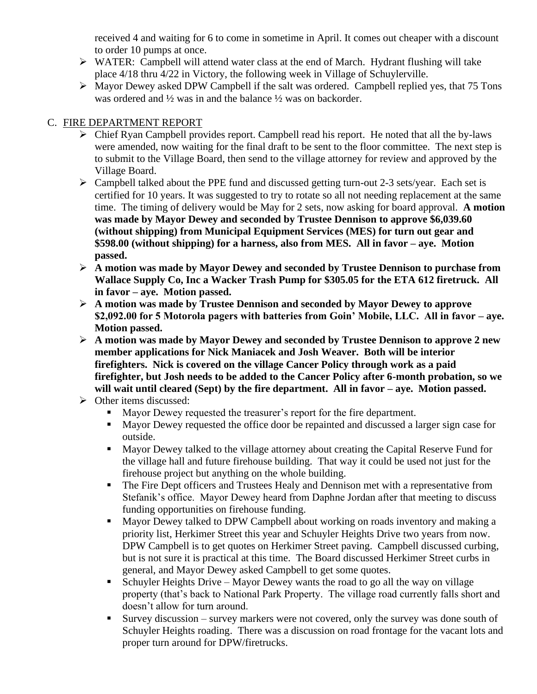received 4 and waiting for 6 to come in sometime in April. It comes out cheaper with a discount to order 10 pumps at once.

- ➢ WATER: Campbell will attend water class at the end of March. Hydrant flushing will take place 4/18 thru 4/22 in Victory, the following week in Village of Schuylerville.
- ➢ Mayor Dewey asked DPW Campbell if the salt was ordered. Campbell replied yes, that 75 Tons was ordered and ½ was in and the balance ½ was on backorder.

# C. FIRE DEPARTMENT REPORT

- ➢ Chief Ryan Campbell provides report. Campbell read his report. He noted that all the by-laws were amended, now waiting for the final draft to be sent to the floor committee. The next step is to submit to the Village Board, then send to the village attorney for review and approved by the Village Board.
- ➢ Campbell talked about the PPE fund and discussed getting turn-out 2-3 sets/year. Each set is certified for 10 years. It was suggested to try to rotate so all not needing replacement at the same time. The timing of delivery would be May for 2 sets, now asking for board approval. **A motion was made by Mayor Dewey and seconded by Trustee Dennison to approve \$6,039.60 (without shipping) from Municipal Equipment Services (MES) for turn out gear and \$598.00 (without shipping) for a harness, also from MES. All in favor – aye. Motion passed.**
- ➢ **A motion was made by Mayor Dewey and seconded by Trustee Dennison to purchase from Wallace Supply Co, Inc a Wacker Trash Pump for \$305.05 for the ETA 612 firetruck. All in favor – aye. Motion passed.**
- ➢ **A motion was made by Trustee Dennison and seconded by Mayor Dewey to approve \$2,092.00 for 5 Motorola pagers with batteries from Goin' Mobile, LLC. All in favor – aye. Motion passed.**
- ➢ **A motion was made by Mayor Dewey and seconded by Trustee Dennison to approve 2 new member applications for Nick Maniacek and Josh Weaver. Both will be interior firefighters. Nick is covered on the village Cancer Policy through work as a paid firefighter, but Josh needs to be added to the Cancer Policy after 6-month probation, so we will wait until cleared (Sept) by the fire department. All in favor – aye. Motion passed.**
- ➢ Other items discussed:
	- Mayor Dewey requested the treasurer's report for the fire department.
	- Mayor Dewey requested the office door be repainted and discussed a larger sign case for outside.
	- Mayor Dewey talked to the village attorney about creating the Capital Reserve Fund for the village hall and future firehouse building. That way it could be used not just for the firehouse project but anything on the whole building.
	- The Fire Dept officers and Trustees Healy and Dennison met with a representative from Stefanik's office. Mayor Dewey heard from Daphne Jordan after that meeting to discuss funding opportunities on firehouse funding.
	- Mayor Dewey talked to DPW Campbell about working on roads inventory and making a priority list, Herkimer Street this year and Schuyler Heights Drive two years from now. DPW Campbell is to get quotes on Herkimer Street paving. Campbell discussed curbing, but is not sure it is practical at this time. The Board discussed Herkimer Street curbs in general, and Mayor Dewey asked Campbell to get some quotes.
	- Schuyler Heights Drive Mayor Dewey wants the road to go all the way on village property (that's back to National Park Property. The village road currently falls short and doesn't allow for turn around.
	- Survey discussion survey markers were not covered, only the survey was done south of Schuyler Heights roading. There was a discussion on road frontage for the vacant lots and proper turn around for DPW/firetrucks.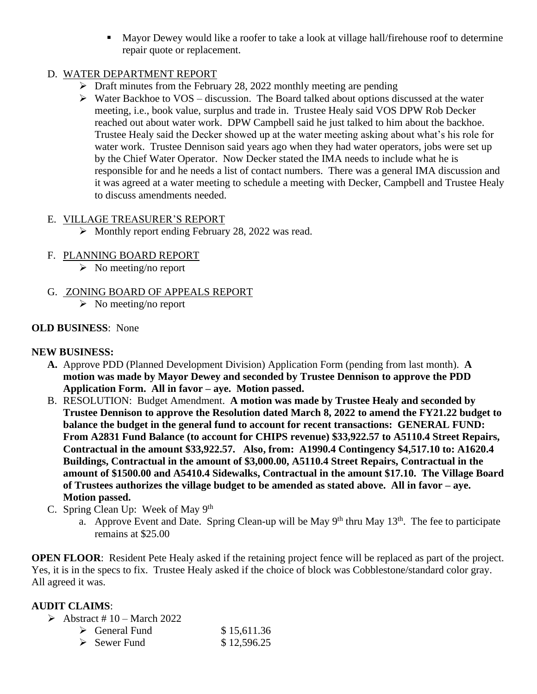■ Mayor Dewey would like a roofer to take a look at village hall/firehouse roof to determine repair quote or replacement.

# D. WATER DEPARTMENT REPORT

- ➢ Draft minutes from the February 28, 2022 monthly meeting are pending
- $\triangleright$  Water Backhoe to VOS discussion. The Board talked about options discussed at the water meeting, i.e., book value, surplus and trade in. Trustee Healy said VOS DPW Rob Decker reached out about water work. DPW Campbell said he just talked to him about the backhoe. Trustee Healy said the Decker showed up at the water meeting asking about what's his role for water work. Trustee Dennison said years ago when they had water operators, jobs were set up by the Chief Water Operator. Now Decker stated the IMA needs to include what he is responsible for and he needs a list of contact numbers. There was a general IMA discussion and it was agreed at a water meeting to schedule a meeting with Decker, Campbell and Trustee Healy to discuss amendments needed.

# E. VILLAGE TREASURER'S REPORT

➢ Monthly report ending February 28, 2022 was read.

# F. PLANNING BOARD REPORT

- $\triangleright$  No meeting/no report
- G. ZONING BOARD OF APPEALS REPORT
	- $\triangleright$  No meeting/no report

# **OLD BUSINESS**: None

# **NEW BUSINESS:**

- **A.** Approve PDD (Planned Development Division) Application Form (pending from last month). **A motion was made by Mayor Dewey and seconded by Trustee Dennison to approve the PDD Application Form. All in favor – aye. Motion passed.**
- B. RESOLUTION: Budget Amendment. **A motion was made by Trustee Healy and seconded by Trustee Dennison to approve the Resolution dated March 8, 2022 to amend the FY21.22 budget to balance the budget in the general fund to account for recent transactions: GENERAL FUND: From A2831 Fund Balance (to account for CHIPS revenue) \$33,922.57 to A5110.4 Street Repairs, Contractual in the amount \$33,922.57. Also, from: A1990.4 Contingency \$4,517.10 to: A1620.4 Buildings, Contractual in the amount of \$3,000.00, A5110.4 Street Repairs, Contractual in the amount of \$1500.00 and A5410.4 Sidewalks, Contractual in the amount \$17.10. The Village Board of Trustees authorizes the village budget to be amended as stated above. All in favor – aye. Motion passed.**
- C. Spring Clean Up: Week of May 9<sup>th</sup>
	- a. Approve Event and Date. Spring Clean-up will be May  $9<sup>th</sup>$  thru May  $13<sup>th</sup>$ . The fee to participate remains at \$25.00

**OPEN FLOOR:** Resident Pete Healy asked if the retaining project fence will be replaced as part of the project. Yes, it is in the specs to fix. Trustee Healy asked if the choice of block was Cobblestone/standard color gray. All agreed it was.

# **AUDIT CLAIMS**:

| $\triangleright$ Abstract # 10 – March 2022 |             |
|---------------------------------------------|-------------|
| $\triangleright$ General Fund               | \$15,611.36 |
| $\triangleright$ Sewer Fund                 | \$12,596.25 |